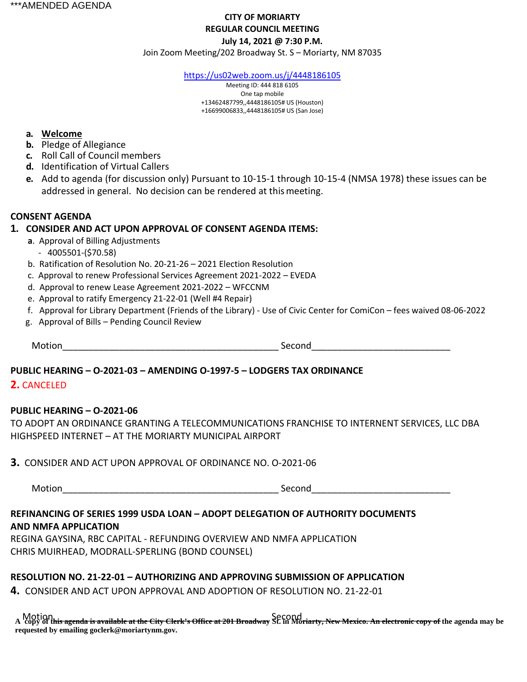# **CITY OF MORIARTY REGULAR COUNCIL MEETING July 14, 2021 @ 7:30 P.M.**

Join Zoom Meeting/202 Broadway St. S – Moriarty, NM 87035

<https://us02web.zoom.us/j/4448186105>

Meeting ID: 444 818 6105 One tap mobile +13462487799,,4448186105# US (Houston) +16699006833,,4448186105# US (San Jose)

#### **a. Welcome**

- **b.** Pledge of Allegiance
- **c.** Roll Call of Council members
- **d.** Identification of Virtual Callers
- **e.** Add to agenda (for discussion only) Pursuant to 10-15-1 through 10-15-4 (NMSA 1978) these issues can be addressed in general. No decision can be rendered at thismeeting.

#### **CONSENT AGENDA**

#### **1. CONSIDER AND ACT UPON APPROVAL OF CONSENT AGENDA ITEMS:**

- **a**. Approval of Billing Adjustments
- 4005501-(\$70.58)
- b. Ratification of Resolution No. 20-21-26 2021 Election Resolution
- c. Approval to renew Professional Services Agreement 2021-2022 EVEDA
- d. Approval to renew Lease Agreement 2021-2022 WFCCNM
- e. Approval to ratify Emergency 21-22-01 (Well #4 Repair)
- f. Approval for Library Department (Friends of the Library) Use of Civic Center for ComiCon fees waived 08-06-2022
- g. Approval of Bills Pending Council Review

Motion\_\_\_\_\_\_\_\_\_\_\_\_\_\_\_\_\_\_\_\_\_\_\_\_\_\_\_\_\_\_\_\_\_\_\_\_\_\_\_\_\_\_ Second\_\_\_\_\_\_\_\_\_\_\_\_\_\_\_\_\_\_\_\_\_\_\_\_\_\_\_

# **PUBLIC HEARING – O-2021-03 – AMENDING O-1997-5 – LODGERS TAX ORDINANCE**

#### **2.** CANCELED

#### **PUBLIC HEARING – O-2021-06**

TO ADOPT AN ORDINANCE GRANTING A TELECOMMUNICATIONS FRANCHISE TO INTERNENT SERVICES, LLC DBA HIGHSPEED INTERNET – AT THE MORIARTY MUNICIPAL AIRPORT

**3.** CONSIDER AND ACT UPON APPROVAL OF ORDINANCE NO. O-2021-06

Motion\_\_\_\_\_\_\_\_\_\_\_\_\_\_\_\_\_\_\_\_\_\_\_\_\_\_\_\_\_\_\_\_\_\_\_\_\_\_\_\_\_\_ Second\_\_\_\_\_\_\_\_\_\_\_\_\_\_\_\_\_\_\_\_\_\_\_\_\_\_\_

# **REFINANCING OF SERIES 1999 USDA LOAN – ADOPT DELEGATION OF AUTHORITY DOCUMENTS AND NMFA APPLICATION**

REGINA GAYSINA, RBC CAPITAL - REFUNDING OVERVIEW AND NMFA APPLICATION CHRIS MUIRHEAD, MODRALL-SPERLING (BOND COUNSEL)

# **RESOLUTION NO. 21-22-01 – AUTHORIZING AND APPROVING SUBMISSION OF APPLICATION**

**4.** CONSIDER AND ACT UPON APPROVAL AND ADOPTION OF RESOLUTION NO. 21-22-01

Motion<br>A copy of this agenda is available at the City Clerk's Office at 201 Broadway St. in Moriarty, New Mexico. An electronic copy of the agenda may be **requested by emailing goclerk@moriartynm.gov.**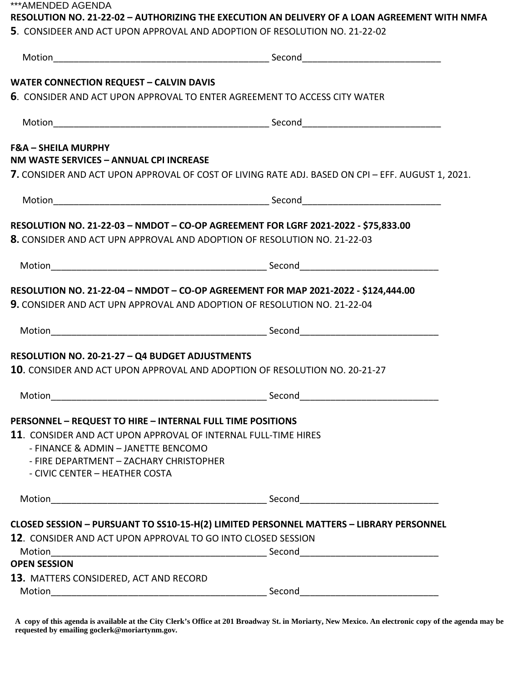\*\*\*AMENDED AGENDA

# **RESOLUTION NO. 21-22-02 – AUTHORIZING THE EXECUTION AN DELIVERY OF A LOAN AGREEMENT WITH NMFA**

| 5. CONSIDEER AND ACT UPON APPROVAL AND ADOPTION OF RESOLUTION NO. 21-22-02 |
|----------------------------------------------------------------------------|
|----------------------------------------------------------------------------|

| <b>WATER CONNECTION REQUEST - CALVIN DAVIS</b>                                          |                                                                                                                                 |
|-----------------------------------------------------------------------------------------|---------------------------------------------------------------------------------------------------------------------------------|
| 6. CONSIDER AND ACT UPON APPROVAL TO ENTER AGREEMENT TO ACCESS CITY WATER               |                                                                                                                                 |
|                                                                                         |                                                                                                                                 |
| <b>F&amp;A - SHEILA MURPHY</b><br>NM WASTE SERVICES - ANNUAL CPI INCREASE               |                                                                                                                                 |
|                                                                                         | 7. CONSIDER AND ACT UPON APPROVAL OF COST OF LIVING RATE ADJ. BASED ON CPI – EFF. AUGUST 1, 2021.                               |
|                                                                                         |                                                                                                                                 |
| RESOLUTION NO. 21-22-03 - NMDOT - CO-OP AGREEMENT FOR LGRF 2021-2022 - \$75,833.00      |                                                                                                                                 |
| 8. CONSIDER AND ACT UPN APPROVAL AND ADOPTION OF RESOLUTION NO. 21-22-03                |                                                                                                                                 |
|                                                                                         |                                                                                                                                 |
| RESOLUTION NO. 21-22-04 - NMDOT - CO-OP AGREEMENT FOR MAP 2021-2022 - \$124,444.00      |                                                                                                                                 |
| <b>9.</b> CONSIDER AND ACT UPN APPROVAL AND ADOPTION OF RESOLUTION NO. 21-22-04         |                                                                                                                                 |
|                                                                                         |                                                                                                                                 |
| <b>RESOLUTION NO. 20-21-27 - Q4 BUDGET ADJUSTMENTS</b>                                  |                                                                                                                                 |
| <b>10.</b> CONSIDER AND ACT UPON APPROVAL AND ADOPTION OF RESOLUTION NO. 20-21-27       |                                                                                                                                 |
|                                                                                         |                                                                                                                                 |
| PERSONNEL - REQUEST TO HIRE - INTERNAL FULL TIME POSITIONS                              |                                                                                                                                 |
| 11. CONSIDER AND ACT UPON APPROVAL OF INTERNAL FULL-TIME HIRES                          |                                                                                                                                 |
| - FINANCE & ADMIN - JANETTE BENCOMO                                                     |                                                                                                                                 |
| - FIRE DEPARTMENT - ZACHARY CHRISTOPHER                                                 |                                                                                                                                 |
| - CIVIC CENTER - HEATHER COSTA                                                          |                                                                                                                                 |
|                                                                                         |                                                                                                                                 |
| CLOSED SESSION - PURSUANT TO SS10-15-H(2) LIMITED PERSONNEL MATTERS - LIBRARY PERSONNEL |                                                                                                                                 |
| 12. CONSIDER AND ACT UPON APPROVAL TO GO INTO CLOSED SESSION                            |                                                                                                                                 |
|                                                                                         |                                                                                                                                 |
| <b>OPEN SESSION</b>                                                                     |                                                                                                                                 |
| 13. MATTERS CONSIDERED, ACT AND RECORD                                                  |                                                                                                                                 |
| Motion                                                                                  | Second<br><u> 1989 - Jan James James Barnett, martin de la populación de la propia de la propia de la propia de la propia d</u> |
|                                                                                         |                                                                                                                                 |

**A copy of this agenda is available at the City Clerk's Office at 201 Broadway St. in Moriarty, New Mexico. An electronic copy of the agenda may be requested by emailing goclerk@moriartynm.gov.**